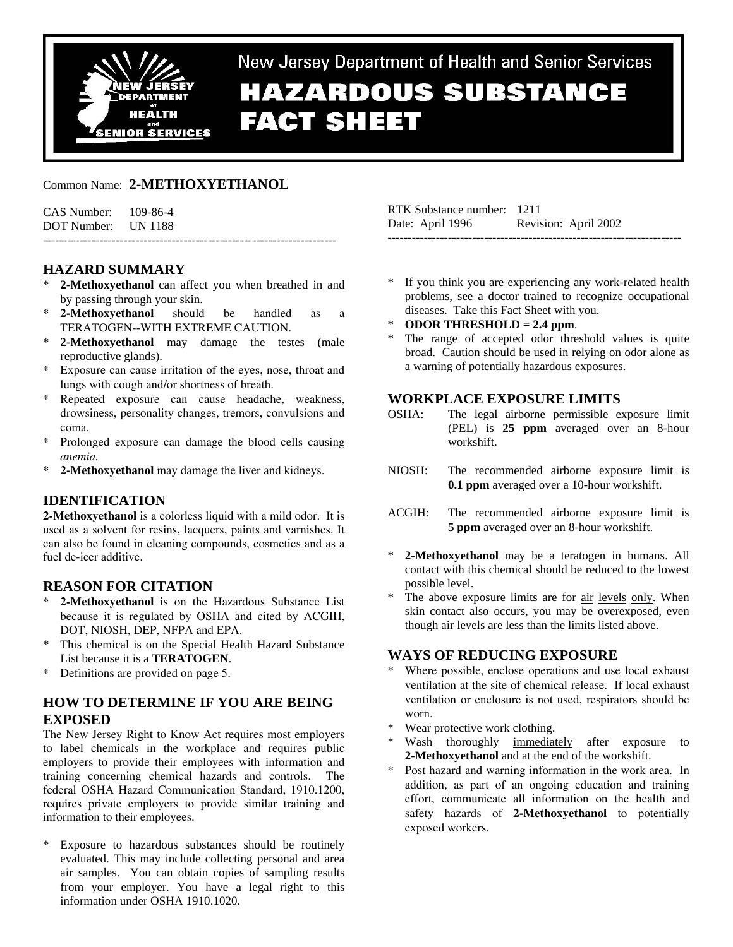

# New Jersey Department of Health and Senior Services **HAZARDOUS SUBSTANCE FACT SHEET**

Common Name: **2-METHOXYETHANOL** 

| $CAS$ Number: $109-86-4$ |  |
|--------------------------|--|
| DOT Number: UN 1188      |  |
|                          |  |

## **HAZARD SUMMARY**

- 2-Methoxyethanol can affect you when breathed in and by passing through your skin.
- 2-Methoxyethanol should be handled as a TERATOGEN--WITH EXTREME CAUTION.
- 2-Methoxyethanol may damage the testes (male reproductive glands).
- \* Exposure can cause irritation of the eyes, nose, throat and lungs with cough and/or shortness of breath.
- Repeated exposure can cause headache, weakness, drowsiness, personality changes, tremors, convulsions and coma.
- \* Prolonged exposure can damage the blood cells causing *anemia.*
- **2-Methoxyethanol** may damage the liver and kidneys.

## **IDENTIFICATION**

**2-Methoxyethanol** is a colorless liquid with a mild odor. It is used as a solvent for resins, lacquers, paints and varnishes. It can also be found in cleaning compounds, cosmetics and as a fuel de-icer additive.

## **REASON FOR CITATION**

- 2-Methoxyethanol is on the Hazardous Substance List because it is regulated by OSHA and cited by ACGIH, DOT, NIOSH, DEP, NFPA and EPA.
- \* This chemical is on the Special Health Hazard Substance List because it is a **TERATOGEN**.
- \* Definitions are provided on page 5.

## **HOW TO DETERMINE IF YOU ARE BEING EXPOSED**

The New Jersey Right to Know Act requires most employers to label chemicals in the workplace and requires public employers to provide their employees with information and training concerning chemical hazards and controls. The federal OSHA Hazard Communication Standard, 1910.1200, requires private employers to provide similar training and information to their employees.

\* Exposure to hazardous substances should be routinely evaluated. This may include collecting personal and area air samples. You can obtain copies of sampling results from your employer. You have a legal right to this information under OSHA 1910.1020.

| RTK Substance number: 1211 |                      |
|----------------------------|----------------------|
| Date: April 1996           | Revision: April 2002 |
|                            |                      |

- \* If you think you are experiencing any work-related health problems, see a doctor trained to recognize occupational diseases. Take this Fact Sheet with you.
- **ODOR THRESHOLD = 2.4 ppm.**
- The range of accepted odor threshold values is quite broad. Caution should be used in relying on odor alone as a warning of potentially hazardous exposures.

## **WORKPLACE EXPOSURE LIMITS**

- OSHA: The legal airborne permissible exposure limit (PEL) is **25 ppm** averaged over an 8-hour workshift.
- NIOSH: The recommended airborne exposure limit is **0.1 ppm** averaged over a 10-hour workshift.
- ACGIH: The recommended airborne exposure limit is **5 ppm** averaged over an 8-hour workshift.
- 2-Methoxyethanol may be a teratogen in humans. All contact with this chemical should be reduced to the lowest possible level.
- The above exposure limits are for air levels only. When skin contact also occurs, you may be overexposed, even though air levels are less than the limits listed above.

## **WAYS OF REDUCING EXPOSURE**

- Where possible, enclose operations and use local exhaust ventilation at the site of chemical release. If local exhaust ventilation or enclosure is not used, respirators should be worn.
- Wear protective work clothing.
- Wash thoroughly immediately after exposure to **2-Methoxyethanol** and at the end of the workshift.
- Post hazard and warning information in the work area. In addition, as part of an ongoing education and training effort, communicate all information on the health and safety hazards of **2-Methoxyethanol** to potentially exposed workers.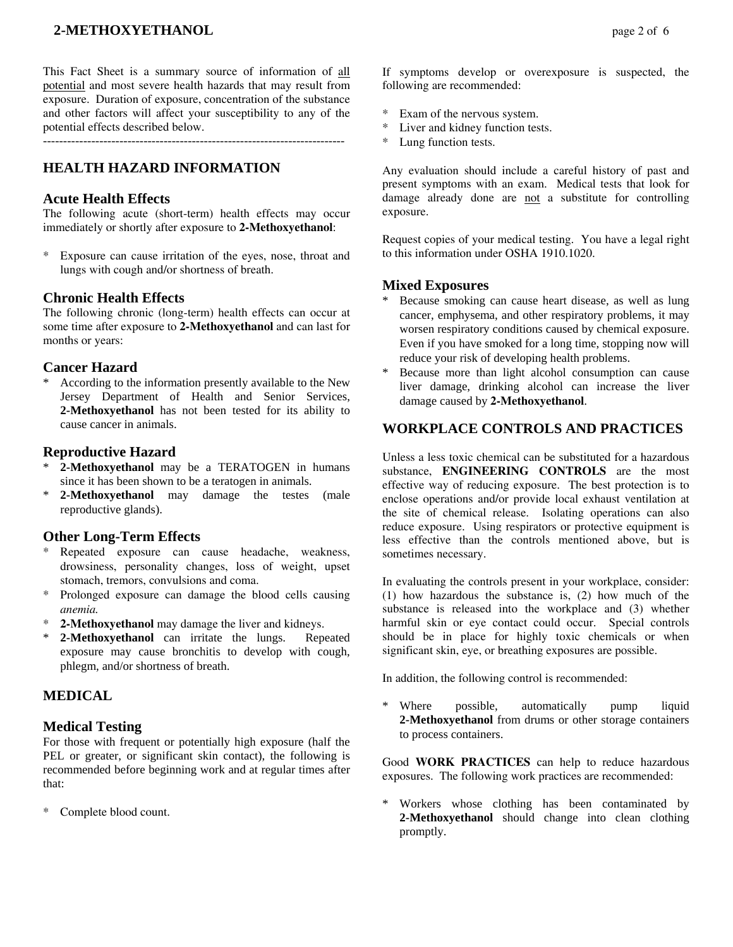## **2-METHOXYETHANOL** page 2 of 6

This Fact Sheet is a summary source of information of all potential and most severe health hazards that may result from exposure. Duration of exposure, concentration of the substance and other factors will affect your susceptibility to any of the potential effects described below.

---------------------------------------------------------------------------

## **HEALTH HAZARD INFORMATION**

#### **Acute Health Effects**

The following acute (short-term) health effects may occur immediately or shortly after exposure to **2-Methoxyethanol**:

\* Exposure can cause irritation of the eyes, nose, throat and lungs with cough and/or shortness of breath.

#### **Chronic Health Effects**

The following chronic (long-term) health effects can occur at some time after exposure to **2-Methoxyethanol** and can last for months or years:

#### **Cancer Hazard**

According to the information presently available to the New Jersey Department of Health and Senior Services, **2-Methoxyethanol** has not been tested for its ability to cause cancer in animals.

#### **Reproductive Hazard**

- 2-Methoxyethanol may be a TERATOGEN in humans since it has been shown to be a teratogen in animals.
- \* **2-Methoxyethanol** may damage the testes (male reproductive glands).

#### **Other Long-Term Effects**

- Repeated exposure can cause headache, weakness, drowsiness, personality changes, loss of weight, upset stomach, tremors, convulsions and coma.
- Prolonged exposure can damage the blood cells causing *anemia.*
- 2-Methoxyethanol may damage the liver and kidneys.
- \* **2-Methoxyethanol** can irritate the lungs. Repeated exposure may cause bronchitis to develop with cough, phlegm, and/or shortness of breath.

## **MEDICAL**

#### **Medical Testing**

For those with frequent or potentially high exposure (half the PEL or greater, or significant skin contact), the following is recommended before beginning work and at regular times after that:

Complete blood count.

If symptoms develop or overexposure is suspected, the following are recommended:

- \* Exam of the nervous system.
- Liver and kidney function tests.
- \* Lung function tests.

Any evaluation should include a careful history of past and present symptoms with an exam. Medical tests that look for damage already done are not a substitute for controlling exposure.

Request copies of your medical testing. You have a legal right to this information under OSHA 1910.1020.

## **Mixed Exposures**

- Because smoking can cause heart disease, as well as lung cancer, emphysema, and other respiratory problems, it may worsen respiratory conditions caused by chemical exposure. Even if you have smoked for a long time, stopping now will reduce your risk of developing health problems.
- Because more than light alcohol consumption can cause liver damage, drinking alcohol can increase the liver damage caused by **2-Methoxyethanol**.

## **WORKPLACE CONTROLS AND PRACTICES**

Unless a less toxic chemical can be substituted for a hazardous substance, **ENGINEERING CONTROLS** are the most effective way of reducing exposure. The best protection is to enclose operations and/or provide local exhaust ventilation at the site of chemical release. Isolating operations can also reduce exposure. Using respirators or protective equipment is less effective than the controls mentioned above, but is sometimes necessary.

In evaluating the controls present in your workplace, consider: (1) how hazardous the substance is, (2) how much of the substance is released into the workplace and (3) whether harmful skin or eye contact could occur. Special controls should be in place for highly toxic chemicals or when significant skin, eye, or breathing exposures are possible.

In addition, the following control is recommended:

\* Where possible, automatically pump liquid **2-Methoxyethanol** from drums or other storage containers to process containers.

Good **WORK PRACTICES** can help to reduce hazardous exposures. The following work practices are recommended:

\* Workers whose clothing has been contaminated by **2-Methoxyethanol** should change into clean clothing promptly.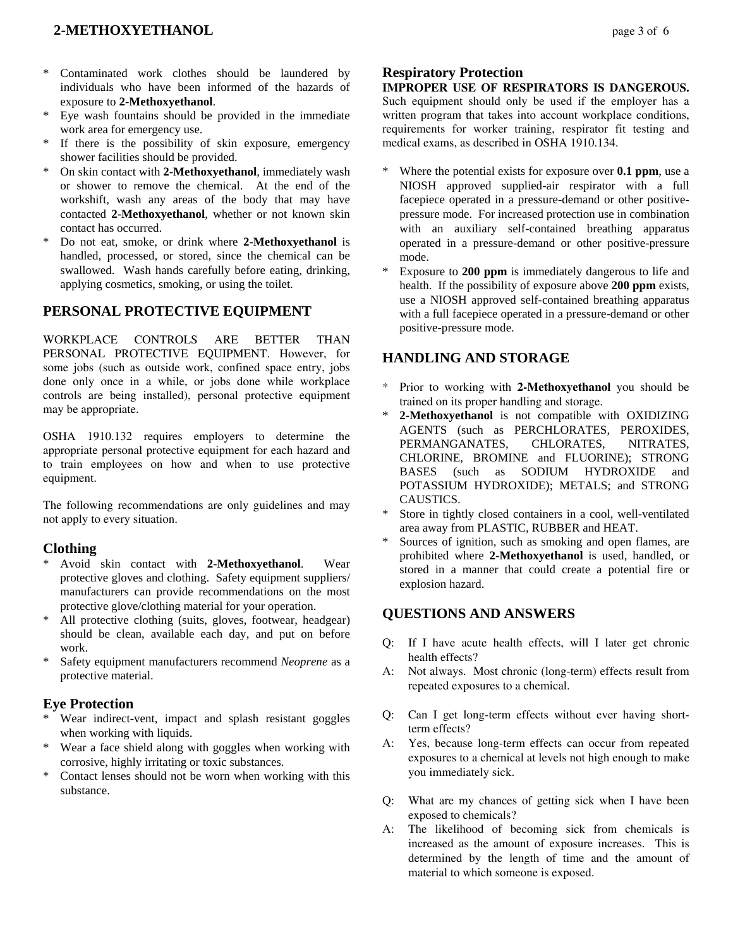## **2-METHOXYETHANOL** page 3 of 6

- Contaminated work clothes should be laundered by individuals who have been informed of the hazards of exposure to **2-Methoxyethanol**.
- Eye wash fountains should be provided in the immediate work area for emergency use.
- \* If there is the possibility of skin exposure, emergency shower facilities should be provided.
- \* On skin contact with **2-Methoxyethanol**, immediately wash or shower to remove the chemical. At the end of the workshift, wash any areas of the body that may have contacted **2-Methoxyethanol**, whether or not known skin contact has occurred.
- Do not eat, smoke, or drink where 2-Methoxyethanol is handled, processed, or stored, since the chemical can be swallowed. Wash hands carefully before eating, drinking, applying cosmetics, smoking, or using the toilet.

## **PERSONAL PROTECTIVE EQUIPMENT**

WORKPLACE CONTROLS ARE BETTER THAN PERSONAL PROTECTIVE EQUIPMENT. However, for some jobs (such as outside work, confined space entry, jobs done only once in a while, or jobs done while workplace controls are being installed), personal protective equipment may be appropriate.

OSHA 1910.132 requires employers to determine the appropriate personal protective equipment for each hazard and to train employees on how and when to use protective equipment.

The following recommendations are only guidelines and may not apply to every situation.

#### **Clothing**

- Avoid skin contact with 2-Methoxyethanol. Wear protective gloves and clothing. Safety equipment suppliers/ manufacturers can provide recommendations on the most protective glove/clothing material for your operation.
- \* All protective clothing (suits, gloves, footwear, headgear) should be clean, available each day, and put on before work.
- Safety equipment manufacturers recommend *Neoprene* as a protective material.

## **Eye Protection**

- \* Wear indirect-vent, impact and splash resistant goggles when working with liquids.
- \* Wear a face shield along with goggles when working with corrosive, highly irritating or toxic substances.
- \* Contact lenses should not be worn when working with this substance.

## **Respiratory Protection**

**IMPROPER USE OF RESPIRATORS IS DANGEROUS.** Such equipment should only be used if the employer has a written program that takes into account workplace conditions, requirements for worker training, respirator fit testing and medical exams, as described in OSHA 1910.134.

- \* Where the potential exists for exposure over **0.1 ppm**, use a NIOSH approved supplied-air respirator with a full facepiece operated in a pressure-demand or other positivepressure mode. For increased protection use in combination with an auxiliary self-contained breathing apparatus operated in a pressure-demand or other positive-pressure mode.
- Exposure to **200 ppm** is immediately dangerous to life and health. If the possibility of exposure above **200 ppm** exists, use a NIOSH approved self-contained breathing apparatus with a full facepiece operated in a pressure-demand or other positive-pressure mode.

## **HANDLING AND STORAGE**

- \* Prior to working with **2-Methoxyethanol** you should be trained on its proper handling and storage.
- 2-Methoxyethanol is not compatible with OXIDIZING AGENTS (such as PERCHLORATES, PEROXIDES, PERMANGANATES, CHLORATES, NITRATES, CHLORINE, BROMINE and FLUORINE); STRONG BASES (such as SODIUM HYDROXIDE and POTASSIUM HYDROXIDE); METALS; and STRONG CAUSTICS.
- Store in tightly closed containers in a cool, well-ventilated area away from PLASTIC, RUBBER and HEAT.
- Sources of ignition, such as smoking and open flames, are prohibited where **2-Methoxyethanol** is used, handled, or stored in a manner that could create a potential fire or explosion hazard.

## **QUESTIONS AND ANSWERS**

- Q: If I have acute health effects, will I later get chronic health effects?
- A: Not always. Most chronic (long-term) effects result from repeated exposures to a chemical.
- Q: Can I get long-term effects without ever having shortterm effects?
- A: Yes, because long-term effects can occur from repeated exposures to a chemical at levels not high enough to make you immediately sick.
- Q: What are my chances of getting sick when I have been exposed to chemicals?
- A: The likelihood of becoming sick from chemicals is increased as the amount of exposure increases. This is determined by the length of time and the amount of material to which someone is exposed.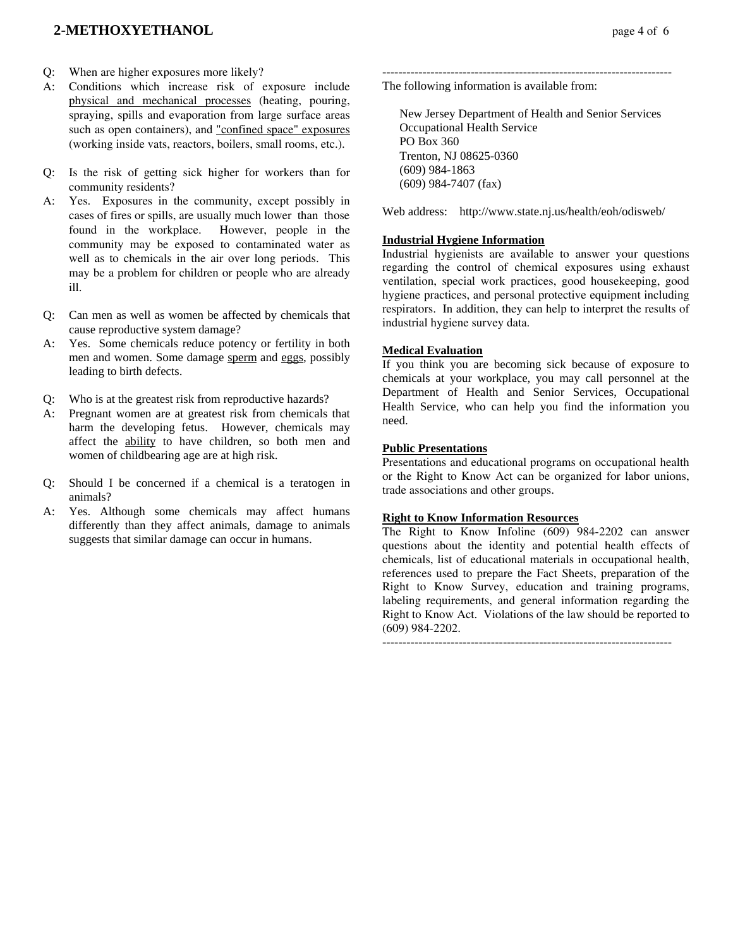## **2-METHOXYETHANOL** page 4 of 6

- Q: When are higher exposures more likely?
- A: Conditions which increase risk of exposure include physical and mechanical processes (heating, pouring, spraying, spills and evaporation from large surface areas such as open containers), and "confined space" exposures (working inside vats, reactors, boilers, small rooms, etc.).
- Q: Is the risk of getting sick higher for workers than for community residents?
- A: Yes. Exposures in the community, except possibly in cases of fires or spills, are usually much lower than those found in the workplace. However, people in the community may be exposed to contaminated water as well as to chemicals in the air over long periods. This may be a problem for children or people who are already ill.
- Q: Can men as well as women be affected by chemicals that cause reproductive system damage?
- A: Yes. Some chemicals reduce potency or fertility in both men and women. Some damage sperm and eggs, possibly leading to birth defects.
- Q: Who is at the greatest risk from reproductive hazards?
- A: Pregnant women are at greatest risk from chemicals that harm the developing fetus. However, chemicals may affect the ability to have children, so both men and women of childbearing age are at high risk.
- Q: Should I be concerned if a chemical is a teratogen in animals?
- A: Yes. Although some chemicals may affect humans differently than they affect animals, damage to animals suggests that similar damage can occur in humans.

------------------------------------------------------------------------ The following information is available from:

 New Jersey Department of Health and Senior Services Occupational Health Service PO Box 360 Trenton, NJ 08625-0360 (609) 984-1863 (609) 984-7407 (fax)

Web address: http://www.state.nj.us/health/eoh/odisweb/

#### **Industrial Hygiene Information**

Industrial hygienists are available to answer your questions regarding the control of chemical exposures using exhaust ventilation, special work practices, good housekeeping, good hygiene practices, and personal protective equipment including respirators. In addition, they can help to interpret the results of industrial hygiene survey data.

#### **Medical Evaluation**

If you think you are becoming sick because of exposure to chemicals at your workplace, you may call personnel at the Department of Health and Senior Services, Occupational Health Service, who can help you find the information you need.

#### **Public Presentations**

Presentations and educational programs on occupational health or the Right to Know Act can be organized for labor unions, trade associations and other groups.

#### **Right to Know Information Resources**

The Right to Know Infoline (609) 984-2202 can answer questions about the identity and potential health effects of chemicals, list of educational materials in occupational health, references used to prepare the Fact Sheets, preparation of the Right to Know Survey, education and training programs, labeling requirements, and general information regarding the Right to Know Act. Violations of the law should be reported to (609) 984-2202.

------------------------------------------------------------------------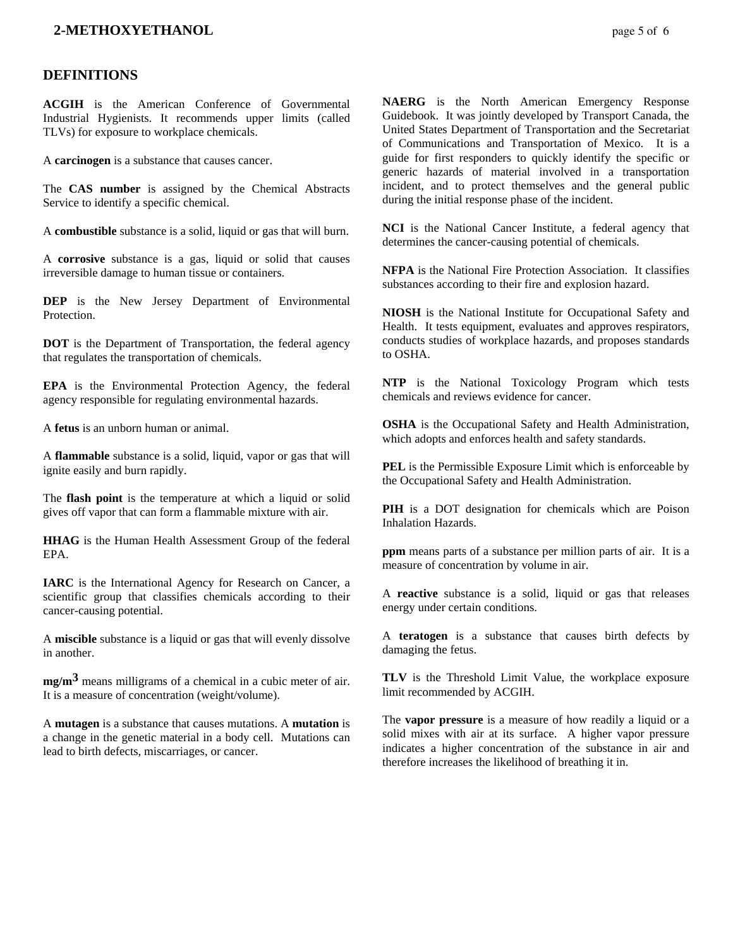## **2-METHOXYETHANOL** page 5 of 6

## **DEFINITIONS**

**ACGIH** is the American Conference of Governmental Industrial Hygienists. It recommends upper limits (called TLVs) for exposure to workplace chemicals.

A **carcinogen** is a substance that causes cancer.

The **CAS number** is assigned by the Chemical Abstracts Service to identify a specific chemical.

A **combustible** substance is a solid, liquid or gas that will burn.

A **corrosive** substance is a gas, liquid or solid that causes irreversible damage to human tissue or containers.

**DEP** is the New Jersey Department of Environmental Protection.

**DOT** is the Department of Transportation, the federal agency that regulates the transportation of chemicals.

**EPA** is the Environmental Protection Agency, the federal agency responsible for regulating environmental hazards.

A **fetus** is an unborn human or animal.

A **flammable** substance is a solid, liquid, vapor or gas that will ignite easily and burn rapidly.

The **flash point** is the temperature at which a liquid or solid gives off vapor that can form a flammable mixture with air.

**HHAG** is the Human Health Assessment Group of the federal EPA.

**IARC** is the International Agency for Research on Cancer, a scientific group that classifies chemicals according to their cancer-causing potential.

A **miscible** substance is a liquid or gas that will evenly dissolve in another.

**mg/m3** means milligrams of a chemical in a cubic meter of air. It is a measure of concentration (weight/volume).

A **mutagen** is a substance that causes mutations. A **mutation** is a change in the genetic material in a body cell. Mutations can lead to birth defects, miscarriages, or cancer.

**NAERG** is the North American Emergency Response Guidebook. It was jointly developed by Transport Canada, the United States Department of Transportation and the Secretariat of Communications and Transportation of Mexico. It is a guide for first responders to quickly identify the specific or generic hazards of material involved in a transportation incident, and to protect themselves and the general public during the initial response phase of the incident.

**NCI** is the National Cancer Institute, a federal agency that determines the cancer-causing potential of chemicals.

**NFPA** is the National Fire Protection Association. It classifies substances according to their fire and explosion hazard.

**NIOSH** is the National Institute for Occupational Safety and Health. It tests equipment, evaluates and approves respirators, conducts studies of workplace hazards, and proposes standards to OSHA.

**NTP** is the National Toxicology Program which tests chemicals and reviews evidence for cancer.

**OSHA** is the Occupational Safety and Health Administration, which adopts and enforces health and safety standards.

**PEL** is the Permissible Exposure Limit which is enforceable by the Occupational Safety and Health Administration.

**PIH** is a DOT designation for chemicals which are Poison Inhalation Hazards.

**ppm** means parts of a substance per million parts of air. It is a measure of concentration by volume in air.

A **reactive** substance is a solid, liquid or gas that releases energy under certain conditions.

A **teratogen** is a substance that causes birth defects by damaging the fetus.

**TLV** is the Threshold Limit Value, the workplace exposure limit recommended by ACGIH.

The **vapor pressure** is a measure of how readily a liquid or a solid mixes with air at its surface. A higher vapor pressure indicates a higher concentration of the substance in air and therefore increases the likelihood of breathing it in.